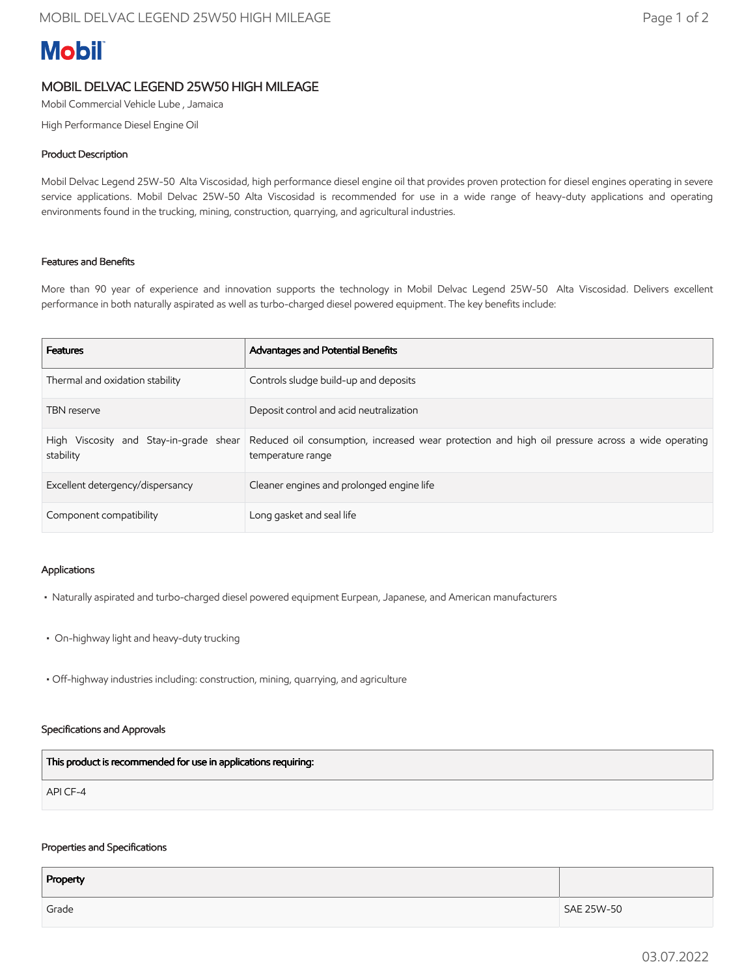# **Mobil**

## MOBIL DELVAC LEGEND 25W50 HIGH MILEAGE

Mobil Commercial Vehicle Lube , Jamaica

High Performance Diesel Engine Oil

### Product Description

Mobil Delvac Legend 25W-50 Alta Viscosidad, high performance diesel engine oil that provides proven protection for diesel engines operating in severe service applications. Mobil Delvac 25W-50 Alta Viscosidad is recommended for use in a wide range of heavy-duty applications and operating environments found in the trucking, mining, construction, quarrying, and agricultural industries.

#### Features and Benefits

More than 90 year of experience and innovation supports the technology in Mobil Delvac Legend 25W-50 Alta Viscosidad. Delivers excellent performance in both naturally aspirated as well as turbo-charged diesel powered equipment. The key benefits include:

| <b>Features</b>                  | Advantages and Potential Benefits                                                                                                                            |
|----------------------------------|--------------------------------------------------------------------------------------------------------------------------------------------------------------|
| Thermal and oxidation stability  | Controls sludge build-up and deposits                                                                                                                        |
| <b>TBN</b> reserve               | Deposit control and acid neutralization                                                                                                                      |
| stability                        | High Viscosity and Stay-in-grade shear Reduced oil consumption, increased wear protection and high oil pressure across a wide operating<br>temperature range |
| Excellent detergency/dispersancy | Cleaner engines and prolonged engine life                                                                                                                    |
| Component compatibility          | Long gasket and seal life                                                                                                                                    |

#### Applications

- Naturally aspirated and turbo-charged diesel powered equipment Eurpean, Japanese, and American manufacturers
- On-highway light and heavy-duty trucking
- Off-highway industries including: construction, mining, quarrying, and agriculture

#### Specifications and Approvals

| This product is recommended for use in applications requiring: |  |
|----------------------------------------------------------------|--|
| API CF-4                                                       |  |

#### Properties and Specifications

| Property |            |
|----------|------------|
| Grade    | SAE 25W-50 |